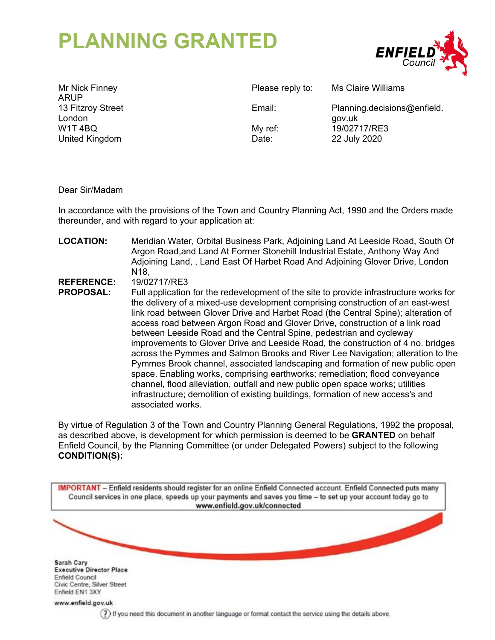# **PLANNING GRANTED**



Mr Nick Finney ARUP 13 Fitzroy Street London W1T 4BQ United Kingdom

Please reply to: Ms Claire Williams

Email: Planning.decisions@enfield. gov.uk My ref: 19/02717/RE3 Date: 22 July 2020

Dear Sir/Madam

In accordance with the provisions of the Town and Country Planning Act, 1990 and the Orders made thereunder, and with regard to your application at:

**LOCATION:** Meridian Water, Orbital Business Park, Adjoining Land At Leeside Road, South Of Argon Road,and Land At Former Stonehill Industrial Estate, Anthony Way And Adjoining Land, , Land East Of Harbet Road And Adjoining Glover Drive, London N18,

**REFERENCE:** 19/02717/RE3

**PROPOSAL:** Full application for the redevelopment of the site to provide infrastructure works for the delivery of a mixed-use development comprising construction of an east-west link road between Glover Drive and Harbet Road (the Central Spine); alteration of access road between Argon Road and Glover Drive, construction of a link road between Leeside Road and the Central Spine, pedestrian and cycleway improvements to Glover Drive and Leeside Road, the construction of 4 no. bridges across the Pymmes and Salmon Brooks and River Lee Navigation; alteration to the Pymmes Brook channel, associated landscaping and formation of new public open space. Enabling works, comprising earthworks; remediation; flood conveyance channel, flood alleviation, outfall and new public open space works; utilities infrastructure; demolition of existing buildings, formation of new access's and associated works.

By virtue of Regulation 3 of the Town and Country Planning General Regulations, 1992 the proposal, as described above, is development for which permission is deemed to be **GRANTED** on behalf Enfield Council, by the Planning Committee (or under Delegated Powers) subject to the following **CONDITION(S):**

IMPORTANT - Enfield residents should register for an online Enfield Connected account. Enfield Connected puts many Council services in one place, speeds up your payments and saves you time - to set up your account today go to www.enfield.gov.uk/connected Sarah Cary **Executive Director Place** Enfield Council Civic Centre, Silver Street Enfield EN1 3XY www.enfield.gov.uk (?) If you need this document in another language or format contact the service using the details above.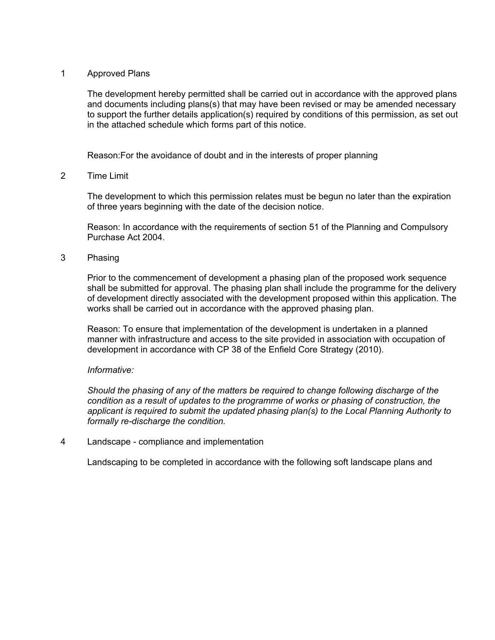## 1 Approved Plans

The development hereby permitted shall be carried out in accordance with the approved plans and documents including plans(s) that may have been revised or may be amended necessary to support the further details application(s) required by conditions of this permission, as set out in the attached schedule which forms part of this notice.

Reason:For the avoidance of doubt and in the interests of proper planning

# 2 Time Limit

The development to which this permission relates must be begun no later than the expiration of three years beginning with the date of the decision notice.

Reason: In accordance with the requirements of section 51 of the Planning and Compulsory Purchase Act 2004.

# 3 Phasing

Prior to the commencement of development a phasing plan of the proposed work sequence shall be submitted for approval. The phasing plan shall include the programme for the delivery of development directly associated with the development proposed within this application. The works shall be carried out in accordance with the approved phasing plan.

Reason: To ensure that implementation of the development is undertaken in a planned manner with infrastructure and access to the site provided in association with occupation of development in accordance with CP 38 of the Enfield Core Strategy (2010).

## *Informative:*

*Should the phasing of any of the matters be required to change following discharge of the condition as a result of updates to the programme of works or phasing of construction, the applicant is required to submit the updated phasing plan(s) to the Local Planning Authority to formally re-discharge the condition.*

4 Landscape - compliance and implementation

Landscaping to be completed in accordance with the following soft landscape plans and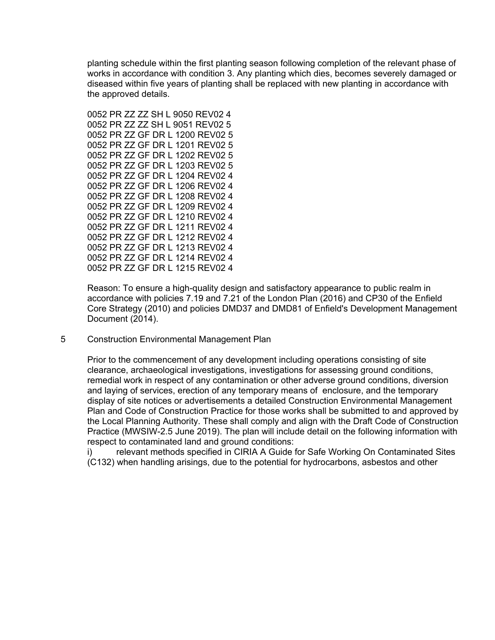planting schedule within the first planting season following completion of the relevant phase of works in accordance with condition 3. Any planting which dies, becomes severely damaged or diseased within five years of planting shall be replaced with new planting in accordance with the approved details.

0052 PR ZZ ZZ SH L 9050 REV02 4 0052 PR ZZ ZZ SH L 9051 REV02 5 0052 PR ZZ GF DR L 1200 REV02 5 0052 PR ZZ GF DR L 1201 REV02 5 0052 PR ZZ GF DR L 1202 REV02 5 0052 PR ZZ GF DR L 1203 REV02 5 0052 PR ZZ GF DR L 1204 REV02 4 0052 PR ZZ GF DR L 1206 REV02 4 0052 PR ZZ GF DR L 1208 REV02 4 0052 PR ZZ GF DR L 1209 REV02 4 0052 PR ZZ GF DR L 1210 REV02 4 0052 PR ZZ GF DR L 1211 REV02 4 0052 PR ZZ GF DR L 1212 REV02 4 0052 PR ZZ GF DR L 1213 REV02 4 0052 PR ZZ GF DR L 1214 REV02 4 0052 PR ZZ GF DR L 1215 REV02 4

Reason: To ensure a high-quality design and satisfactory appearance to public realm in accordance with policies 7.19 and 7.21 of the London Plan (2016) and CP30 of the Enfield Core Strategy (2010) and policies DMD37 and DMD81 of Enfield's Development Management Document (2014).

5 Construction Environmental Management Plan

Prior to the commencement of any development including operations consisting of site clearance, archaeological investigations, investigations for assessing ground conditions, remedial work in respect of any contamination or other adverse ground conditions, diversion and laying of services, erection of any temporary means of enclosure, and the temporary display of site notices or advertisements a detailed Construction Environmental Management Plan and Code of Construction Practice for those works shall be submitted to and approved by the Local Planning Authority. These shall comply and align with the Draft Code of Construction Practice (MWSIW-2.5 June 2019). The plan will include detail on the following information with respect to contaminated land and ground conditions:

i) relevant methods specified in CIRIA A Guide for Safe Working On Contaminated Sites (C132) when handling arisings, due to the potential for hydrocarbons, asbestos and other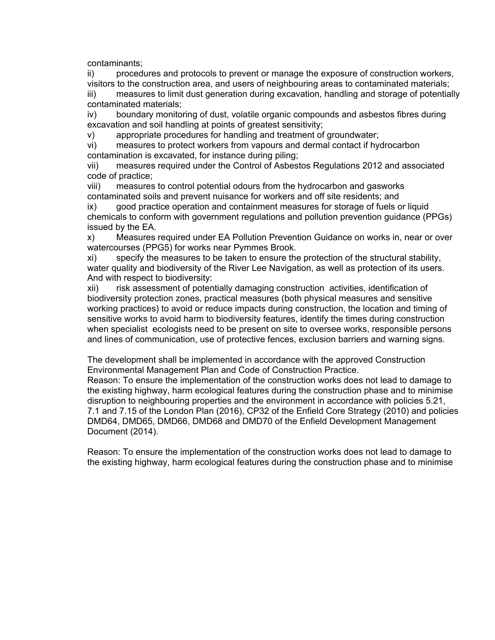contaminants;

ii) procedures and protocols to prevent or manage the exposure of construction workers, visitors to the construction area, and users of neighbouring areas to contaminated materials;

iii) measures to limit dust generation during excavation, handling and storage of potentially contaminated materials;

iv) boundary monitoring of dust, volatile organic compounds and asbestos fibres during excavation and soil handling at points of greatest sensitivity;

v) appropriate procedures for handling and treatment of groundwater;

vi) measures to protect workers from vapours and dermal contact if hydrocarbon contamination is excavated, for instance during piling;

vii) measures required under the Control of Asbestos Regulations 2012 and associated code of practice;

viii) measures to control potential odours from the hydrocarbon and gasworks contaminated soils and prevent nuisance for workers and off site residents; and

ix) good practice operation and containment measures for storage of fuels or liquid chemicals to conform with government regulations and pollution prevention guidance (PPGs) issued by the EA.

x) Measures required under EA Pollution Prevention Guidance on works in, near or over watercourses (PPG5) for works near Pymmes Brook.

xi) specify the measures to be taken to ensure the protection of the structural stability, water quality and biodiversity of the River Lee Navigation, as well as protection of its users. And with respect to biodiversity:

xii) risk assessment of potentially damaging construction activities, identification of biodiversity protection zones, practical measures (both physical measures and sensitive working practices) to avoid or reduce impacts during construction, the location and timing of sensitive works to avoid harm to biodiversity features, identify the times during construction when specialist ecologists need to be present on site to oversee works, responsible persons and lines of communication, use of protective fences, exclusion barriers and warning signs.

The development shall be implemented in accordance with the approved Construction Environmental Management Plan and Code of Construction Practice.

Reason: To ensure the implementation of the construction works does not lead to damage to the existing highway, harm ecological features during the construction phase and to minimise disruption to neighbouring properties and the environment in accordance with policies 5.21, 7.1 and 7.15 of the London Plan (2016), CP32 of the Enfield Core Strategy (2010) and policies DMD64, DMD65, DMD66, DMD68 and DMD70 of the Enfield Development Management Document (2014).

Reason: To ensure the implementation of the construction works does not lead to damage to the existing highway, harm ecological features during the construction phase and to minimise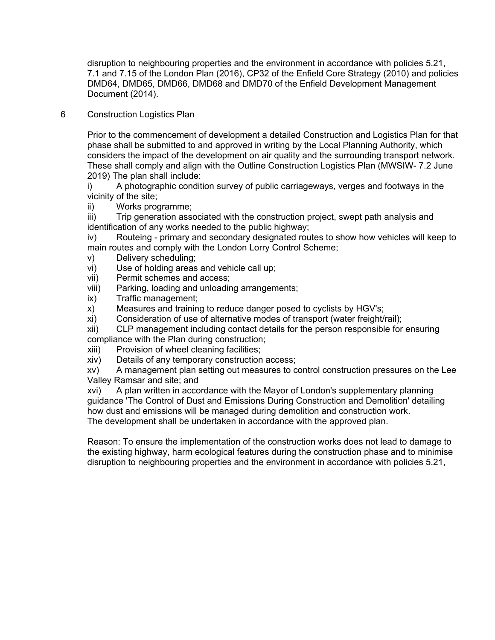disruption to neighbouring properties and the environment in accordance with policies 5.21, 7.1 and 7.15 of the London Plan (2016), CP32 of the Enfield Core Strategy (2010) and policies DMD64, DMD65, DMD66, DMD68 and DMD70 of the Enfield Development Management Document (2014).

6 Construction Logistics Plan

Prior to the commencement of development a detailed Construction and Logistics Plan for that phase shall be submitted to and approved in writing by the Local Planning Authority, which considers the impact of the development on air quality and the surrounding transport network. These shall comply and align with the Outline Construction Logistics Plan (MWSIW- 7.2 June 2019) The plan shall include:

i) A photographic condition survey of public carriageways, verges and footways in the vicinity of the site;

ii) Works programme;

iii) Trip generation associated with the construction project, swept path analysis and identification of any works needed to the public highway;

iv) Routeing - primary and secondary designated routes to show how vehicles will keep to main routes and comply with the London Lorry Control Scheme;

- v) Delivery scheduling;
- vi) Use of holding areas and vehicle call up;
- vii) Permit schemes and access;
- viii) Parking, loading and unloading arrangements;
- ix) Traffic management;
- x) Measures and training to reduce danger posed to cyclists by HGV's;
- xi) Consideration of use of alternative modes of transport (water freight/rail);

xii) CLP management including contact details for the person responsible for ensuring compliance with the Plan during construction;

- xiii) Provision of wheel cleaning facilities;
- xiv) Details of any temporary construction access;

xv) A management plan setting out measures to control construction pressures on the Lee Valley Ramsar and site; and

xvi) A plan written in accordance with the Mayor of London's supplementary planning guidance 'The Control of Dust and Emissions During Construction and Demolition' detailing how dust and emissions will be managed during demolition and construction work. The development shall be undertaken in accordance with the approved plan.

Reason: To ensure the implementation of the construction works does not lead to damage to the existing highway, harm ecological features during the construction phase and to minimise disruption to neighbouring properties and the environment in accordance with policies 5.21,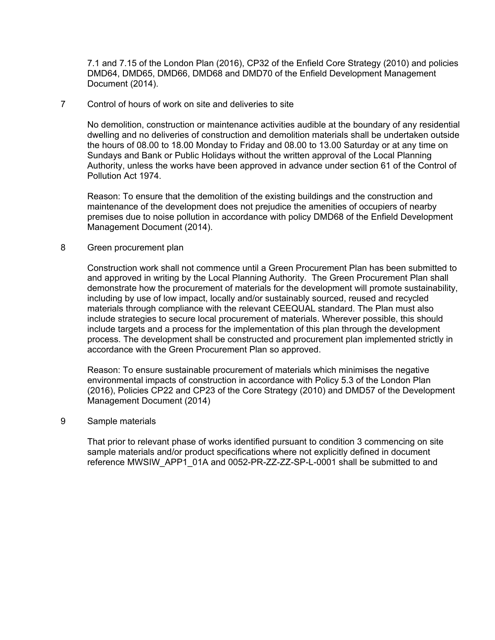7.1 and 7.15 of the London Plan (2016), CP32 of the Enfield Core Strategy (2010) and policies DMD64, DMD65, DMD66, DMD68 and DMD70 of the Enfield Development Management Document (2014).

## 7 Control of hours of work on site and deliveries to site

No demolition, construction or maintenance activities audible at the boundary of any residential dwelling and no deliveries of construction and demolition materials shall be undertaken outside the hours of 08.00 to 18.00 Monday to Friday and 08.00 to 13.00 Saturday or at any time on Sundays and Bank or Public Holidays without the written approval of the Local Planning Authority, unless the works have been approved in advance under section 61 of the Control of Pollution Act 1974.

Reason: To ensure that the demolition of the existing buildings and the construction and maintenance of the development does not prejudice the amenities of occupiers of nearby premises due to noise pollution in accordance with policy DMD68 of the Enfield Development Management Document (2014).

#### 8 Green procurement plan

Construction work shall not commence until a Green Procurement Plan has been submitted to and approved in writing by the Local Planning Authority. The Green Procurement Plan shall demonstrate how the procurement of materials for the development will promote sustainability, including by use of low impact, locally and/or sustainably sourced, reused and recycled materials through compliance with the relevant CEEQUAL standard. The Plan must also include strategies to secure local procurement of materials. Wherever possible, this should include targets and a process for the implementation of this plan through the development process. The development shall be constructed and procurement plan implemented strictly in accordance with the Green Procurement Plan so approved.

Reason: To ensure sustainable procurement of materials which minimises the negative environmental impacts of construction in accordance with Policy 5.3 of the London Plan (2016), Policies CP22 and CP23 of the Core Strategy (2010) and DMD57 of the Development Management Document (2014)

#### 9 Sample materials

That prior to relevant phase of works identified pursuant to condition 3 commencing on site sample materials and/or product specifications where not explicitly defined in document reference MWSIW\_APP1\_01A and 0052-PR-ZZ-ZZ-SP-L-0001 shall be submitted to and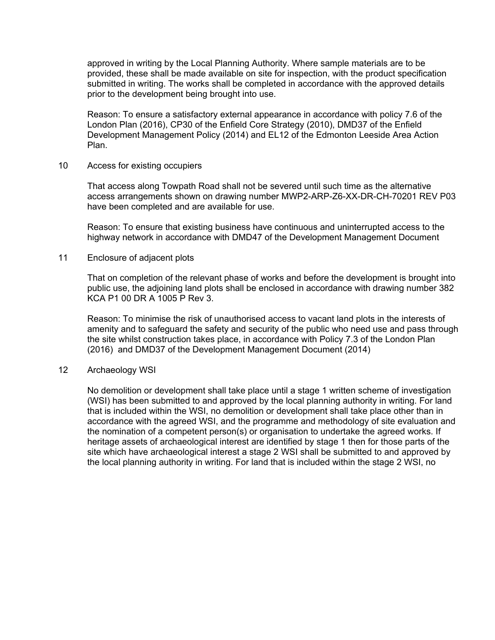approved in writing by the Local Planning Authority. Where sample materials are to be provided, these shall be made available on site for inspection, with the product specification submitted in writing. The works shall be completed in accordance with the approved details prior to the development being brought into use.

Reason: To ensure a satisfactory external appearance in accordance with policy 7.6 of the London Plan (2016), CP30 of the Enfield Core Strategy (2010), DMD37 of the Enfield Development Management Policy (2014) and EL12 of the Edmonton Leeside Area Action Plan.

#### 10 Access for existing occupiers

That access along Towpath Road shall not be severed until such time as the alternative access arrangements shown on drawing number MWP2-ARP-Z6-XX-DR-CH-70201 REV P03 have been completed and are available for use.

Reason: To ensure that existing business have continuous and uninterrupted access to the highway network in accordance with DMD47 of the Development Management Document

#### 11 Enclosure of adjacent plots

That on completion of the relevant phase of works and before the development is brought into public use, the adjoining land plots shall be enclosed in accordance with drawing number 382 KCA P1 00 DR A 1005 P Rev 3.

Reason: To minimise the risk of unauthorised access to vacant land plots in the interests of amenity and to safeguard the safety and security of the public who need use and pass through the site whilst construction takes place, in accordance with Policy 7.3 of the London Plan (2016) and DMD37 of the Development Management Document (2014)

#### 12 Archaeology WSI

No demolition or development shall take place until a stage 1 written scheme of investigation (WSI) has been submitted to and approved by the local planning authority in writing. For land that is included within the WSI, no demolition or development shall take place other than in accordance with the agreed WSI, and the programme and methodology of site evaluation and the nomination of a competent person(s) or organisation to undertake the agreed works. If heritage assets of archaeological interest are identified by stage 1 then for those parts of the site which have archaeological interest a stage 2 WSI shall be submitted to and approved by the local planning authority in writing. For land that is included within the stage 2 WSI, no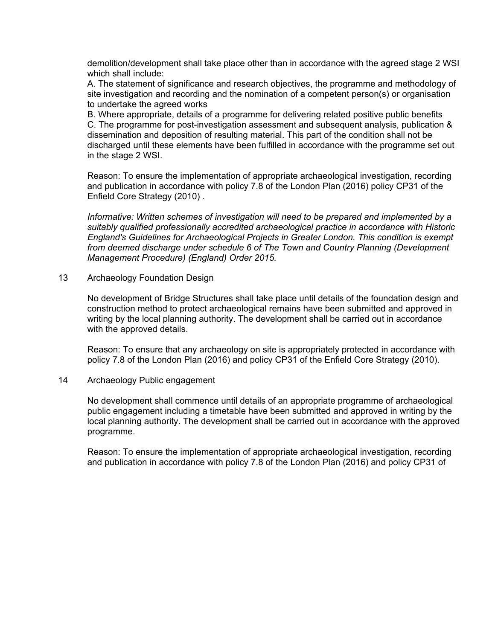demolition/development shall take place other than in accordance with the agreed stage 2 WSI which shall include:

A. The statement of significance and research objectives, the programme and methodology of site investigation and recording and the nomination of a competent person(s) or organisation to undertake the agreed works

B. Where appropriate, details of a programme for delivering related positive public benefits C. The programme for post-investigation assessment and subsequent analysis, publication & dissemination and deposition of resulting material. This part of the condition shall not be discharged until these elements have been fulfilled in accordance with the programme set out in the stage 2 WSI.

Reason: To ensure the implementation of appropriate archaeological investigation, recording and publication in accordance with policy 7.8 of the London Plan (2016) policy CP31 of the Enfield Core Strategy (2010) .

*Informative: Written schemes of investigation will need to be prepared and implemented by a suitably qualified professionally accredited archaeological practice in accordance with Historic England's Guidelines for Archaeological Projects in Greater London. This condition is exempt from deemed discharge under schedule 6 of The Town and Country Planning (Development Management Procedure) (England) Order 2015.*

13 Archaeology Foundation Design

No development of Bridge Structures shall take place until details of the foundation design and construction method to protect archaeological remains have been submitted and approved in writing by the local planning authority. The development shall be carried out in accordance with the approved details.

Reason: To ensure that any archaeology on site is appropriately protected in accordance with policy 7.8 of the London Plan (2016) and policy CP31 of the Enfield Core Strategy (2010).

## 14 Archaeology Public engagement

No development shall commence until details of an appropriate programme of archaeological public engagement including a timetable have been submitted and approved in writing by the local planning authority. The development shall be carried out in accordance with the approved programme.

Reason: To ensure the implementation of appropriate archaeological investigation, recording and publication in accordance with policy 7.8 of the London Plan (2016) and policy CP31 of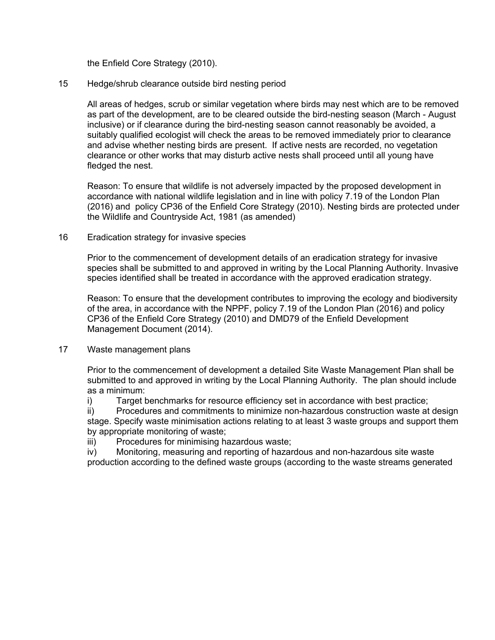the Enfield Core Strategy (2010).

# 15 Hedge/shrub clearance outside bird nesting period

All areas of hedges, scrub or similar vegetation where birds may nest which are to be removed as part of the development, are to be cleared outside the bird-nesting season (March - August inclusive) or if clearance during the bird-nesting season cannot reasonably be avoided, a suitably qualified ecologist will check the areas to be removed immediately prior to clearance and advise whether nesting birds are present. If active nests are recorded, no vegetation clearance or other works that may disturb active nests shall proceed until all young have fledged the nest.

Reason: To ensure that wildlife is not adversely impacted by the proposed development in accordance with national wildlife legislation and in line with policy 7.19 of the London Plan (2016) and policy CP36 of the Enfield Core Strategy (2010). Nesting birds are protected under the Wildlife and Countryside Act, 1981 (as amended)

## 16 Eradication strategy for invasive species

Prior to the commencement of development details of an eradication strategy for invasive species shall be submitted to and approved in writing by the Local Planning Authority. Invasive species identified shall be treated in accordance with the approved eradication strategy.

Reason: To ensure that the development contributes to improving the ecology and biodiversity of the area, in accordance with the NPPF, policy 7.19 of the London Plan (2016) and policy CP36 of the Enfield Core Strategy (2010) and DMD79 of the Enfield Development Management Document (2014).

## 17 Waste management plans

Prior to the commencement of development a detailed Site Waste Management Plan shall be submitted to and approved in writing by the Local Planning Authority. The plan should include as a minimum:

i) Target benchmarks for resource efficiency set in accordance with best practice;

ii) Procedures and commitments to minimize non-hazardous construction waste at design stage. Specify waste minimisation actions relating to at least 3 waste groups and support them by appropriate monitoring of waste;

iii) Procedures for minimising hazardous waste;

iv) Monitoring, measuring and reporting of hazardous and non-hazardous site waste production according to the defined waste groups (according to the waste streams generated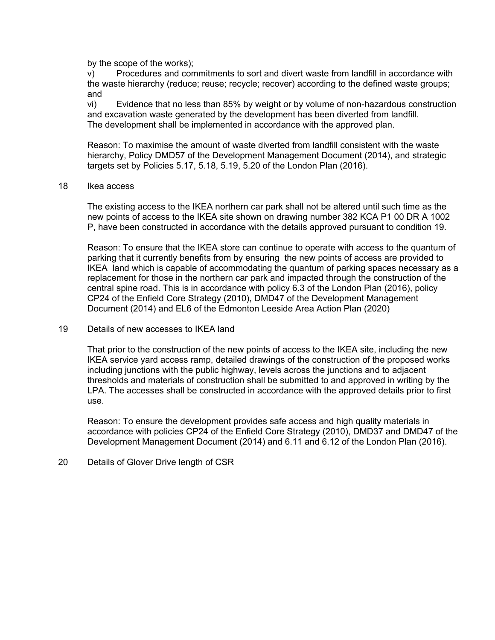by the scope of the works);

v) Procedures and commitments to sort and divert waste from landfill in accordance with the waste hierarchy (reduce; reuse; recycle; recover) according to the defined waste groups; and

vi) Evidence that no less than 85% by weight or by volume of non-hazardous construction and excavation waste generated by the development has been diverted from landfill. The development shall be implemented in accordance with the approved plan.

Reason: To maximise the amount of waste diverted from landfill consistent with the waste hierarchy, Policy DMD57 of the Development Management Document (2014), and strategic targets set by Policies 5.17, 5.18, 5.19, 5.20 of the London Plan (2016).

#### 18 Ikea access

The existing access to the IKEA northern car park shall not be altered until such time as the new points of access to the IKEA site shown on drawing number 382 KCA P1 00 DR A 1002 P, have been constructed in accordance with the details approved pursuant to condition 19.

Reason: To ensure that the IKEA store can continue to operate with access to the quantum of parking that it currently benefits from by ensuring the new points of access are provided to IKEA land which is capable of accommodating the quantum of parking spaces necessary as a replacement for those in the northern car park and impacted through the construction of the central spine road. This is in accordance with policy 6.3 of the London Plan (2016), policy CP24 of the Enfield Core Strategy (2010), DMD47 of the Development Management Document (2014) and EL6 of the Edmonton Leeside Area Action Plan (2020)

## 19 Details of new accesses to IKEA land

That prior to the construction of the new points of access to the IKEA site, including the new IKEA service yard access ramp, detailed drawings of the construction of the proposed works including junctions with the public highway, levels across the junctions and to adjacent thresholds and materials of construction shall be submitted to and approved in writing by the LPA. The accesses shall be constructed in accordance with the approved details prior to first use.

Reason: To ensure the development provides safe access and high quality materials in accordance with policies CP24 of the Enfield Core Strategy (2010), DMD37 and DMD47 of the Development Management Document (2014) and 6.11 and 6.12 of the London Plan (2016).

# 20 Details of Glover Drive length of CSR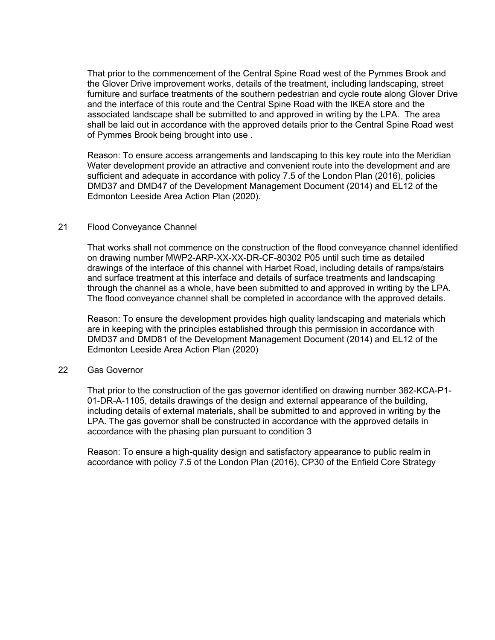That prior to the commencement of the Central Spine Road west of the Pymmes Brook and the Glover Drive improvement works, details of the treatment, including landscaping, street furniture and surface treatments of the southern pedestrian and cycle route along Glover Drive and the interface of this route and the Central Spine Road with the IKEA store and the associated landscape shall be submitted to and approved in writing by the LPA. The area shall be laid out in accordance with the approved details prior to the Central Spine Road west of Pymmes Brook being brought into use .

Reason: To ensure access arrangements and landscaping to this key route into the Meridian Water development provide an attractive and convenient route into the development and are sufficient and adequate in accordance with policy 7.5 of the London Plan (2016), policies DMD37 and DMD47 of the Development Management Document (2014) and EL12 of the Edmonton Leeside Area Action Plan (2020).

# 21 Flood Conveyance Channel

That works shall not commence on the construction of the flood conveyance channel identified on drawing number MWP2-ARP-XX-XX-DR-CF-80302 P05 until such time as detailed drawings of the interface of this channel with Harbet Road, including details of ramps/stairs and surface treatment at this interface and details of surface treatments and landscaping through the channel as a whole, have been submitted to and approved in writing by the LPA. The flood conveyance channel shall be completed in accordance with the approved details.

Reason: To ensure the development provides high quality landscaping and materials which are in keeping with the principles established through this permission in accordance with DMD37 and DMD81 of the Development Management Document (2014) and EL12 of the Edmonton Leeside Area Action Plan (2020)

## 22 Gas Governor

That prior to the construction of the gas governor identified on drawing number 382-KCA-P1- 01-DR-A-1105, details drawings of the design and external appearance of the building, including details of external materials, shall be submitted to and approved in writing by the LPA. The gas governor shall be constructed in accordance with the approved details in accordance with the phasing plan pursuant to condition 3

Reason: To ensure a high-quality design and satisfactory appearance to public realm in accordance with policy 7.5 of the London Plan (2016), CP30 of the Enfield Core Strategy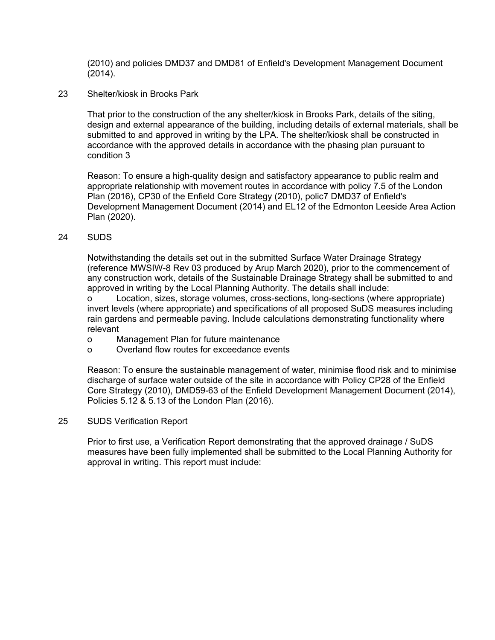(2010) and policies DMD37 and DMD81 of Enfield's Development Management Document (2014).

23 Shelter/kiosk in Brooks Park

That prior to the construction of the any shelter/kiosk in Brooks Park, details of the siting, design and external appearance of the building, including details of external materials, shall be submitted to and approved in writing by the LPA. The shelter/kiosk shall be constructed in accordance with the approved details in accordance with the phasing plan pursuant to condition 3

Reason: To ensure a high-quality design and satisfactory appearance to public realm and appropriate relationship with movement routes in accordance with policy 7.5 of the London Plan (2016), CP30 of the Enfield Core Strategy (2010), polic7 DMD37 of Enfield's Development Management Document (2014) and EL12 of the Edmonton Leeside Area Action Plan (2020).

24 SUDS

Notwithstanding the details set out in the submitted Surface Water Drainage Strategy (reference MWSIW-8 Rev 03 produced by Arup March 2020), prior to the commencement of any construction work, details of the Sustainable Drainage Strategy shall be submitted to and approved in writing by the Local Planning Authority. The details shall include:

o Location, sizes, storage volumes, cross-sections, long-sections (where appropriate) invert levels (where appropriate) and specifications of all proposed SuDS measures including rain gardens and permeable paving. Include calculations demonstrating functionality where relevant

- o Management Plan for future maintenance
- o Overland flow routes for exceedance events

Reason: To ensure the sustainable management of water, minimise flood risk and to minimise discharge of surface water outside of the site in accordance with Policy CP28 of the Enfield Core Strategy (2010), DMD59-63 of the Enfield Development Management Document (2014), Policies 5.12 & 5.13 of the London Plan (2016).

25 SUDS Verification Report

Prior to first use, a Verification Report demonstrating that the approved drainage / SuDS measures have been fully implemented shall be submitted to the Local Planning Authority for approval in writing. This report must include: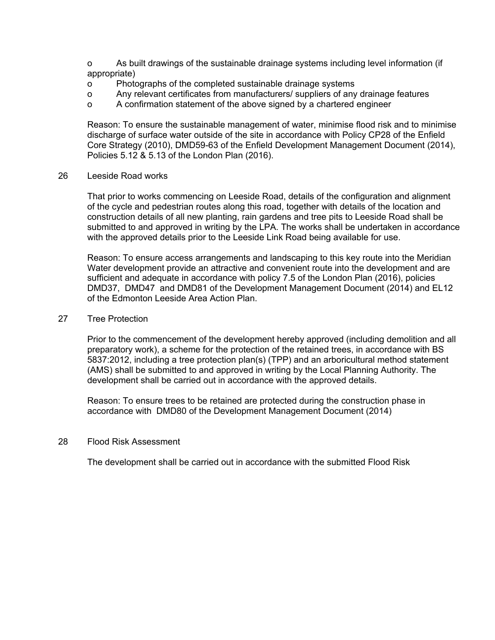o As built drawings of the sustainable drainage systems including level information (if appropriate)

- o Photographs of the completed sustainable drainage systems
- o Any relevant certificates from manufacturers/ suppliers of any drainage features
- o A confirmation statement of the above signed by a chartered engineer

Reason: To ensure the sustainable management of water, minimise flood risk and to minimise discharge of surface water outside of the site in accordance with Policy CP28 of the Enfield Core Strategy (2010), DMD59-63 of the Enfield Development Management Document (2014), Policies 5.12 & 5.13 of the London Plan (2016).

26 Leeside Road works

That prior to works commencing on Leeside Road, details of the configuration and alignment of the cycle and pedestrian routes along this road, together with details of the location and construction details of all new planting, rain gardens and tree pits to Leeside Road shall be submitted to and approved in writing by the LPA. The works shall be undertaken in accordance with the approved details prior to the Leeside Link Road being available for use.

Reason: To ensure access arrangements and landscaping to this key route into the Meridian Water development provide an attractive and convenient route into the development and are sufficient and adequate in accordance with policy 7.5 of the London Plan (2016), policies DMD37, DMD47 and DMD81 of the Development Management Document (2014) and EL12 of the Edmonton Leeside Area Action Plan.

#### 27 Tree Protection

Prior to the commencement of the development hereby approved (including demolition and all preparatory work), a scheme for the protection of the retained trees, in accordance with BS 5837:2012, including a tree protection plan(s) (TPP) and an arboricultural method statement (AMS) shall be submitted to and approved in writing by the Local Planning Authority. The development shall be carried out in accordance with the approved details.

Reason: To ensure trees to be retained are protected during the construction phase in accordance with DMD80 of the Development Management Document (2014)

## 28 Flood Risk Assessment

The development shall be carried out in accordance with the submitted Flood Risk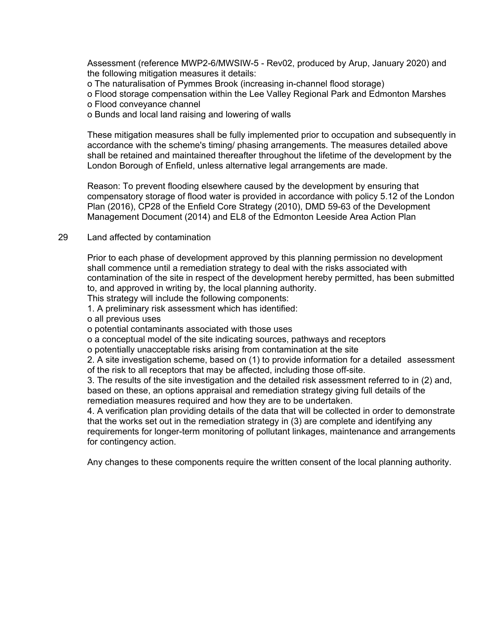Assessment (reference MWP2-6/MWSIW-5 - Rev02, produced by Arup, January 2020) and the following mitigation measures it details:

o The naturalisation of Pymmes Brook (increasing in-channel flood storage)

o Flood storage compensation within the Lee Valley Regional Park and Edmonton Marshes o Flood conveyance channel

o Bunds and local land raising and lowering of walls

These mitigation measures shall be fully implemented prior to occupation and subsequently in accordance with the scheme's timing/ phasing arrangements. The measures detailed above shall be retained and maintained thereafter throughout the lifetime of the development by the London Borough of Enfield, unless alternative legal arrangements are made.

Reason: To prevent flooding elsewhere caused by the development by ensuring that compensatory storage of flood water is provided in accordance with policy 5.12 of the London Plan (2016), CP28 of the Enfield Core Strategy (2010), DMD 59-63 of the Development Management Document (2014) and EL8 of the Edmonton Leeside Area Action Plan

# 29 Land affected by contamination

Prior to each phase of development approved by this planning permission no development shall commence until a remediation strategy to deal with the risks associated with contamination of the site in respect of the development hereby permitted, has been submitted to, and approved in writing by, the local planning authority.

This strategy will include the following components:

1. A preliminary risk assessment which has identified:

o all previous uses

o potential contaminants associated with those uses

o a conceptual model of the site indicating sources, pathways and receptors

o potentially unacceptable risks arising from contamination at the site

2. A site investigation scheme, based on (1) to provide information for a detailed assessment of the risk to all receptors that may be affected, including those off-site.

3. The results of the site investigation and the detailed risk assessment referred to in (2) and, based on these, an options appraisal and remediation strategy giving full details of the remediation measures required and how they are to be undertaken.

4. A verification plan providing details of the data that will be collected in order to demonstrate that the works set out in the remediation strategy in (3) are complete and identifying any requirements for longer-term monitoring of pollutant linkages, maintenance and arrangements for contingency action.

Any changes to these components require the written consent of the local planning authority.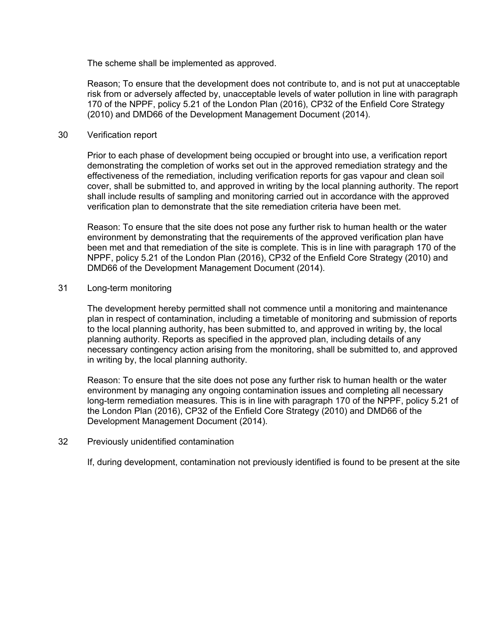The scheme shall be implemented as approved.

Reason; To ensure that the development does not contribute to, and is not put at unacceptable risk from or adversely affected by, unacceptable levels of water pollution in line with paragraph 170 of the NPPF, policy 5.21 of the London Plan (2016), CP32 of the Enfield Core Strategy (2010) and DMD66 of the Development Management Document (2014).

## 30 Verification report

Prior to each phase of development being occupied or brought into use, a verification report demonstrating the completion of works set out in the approved remediation strategy and the effectiveness of the remediation, including verification reports for gas vapour and clean soil cover, shall be submitted to, and approved in writing by the local planning authority. The report shall include results of sampling and monitoring carried out in accordance with the approved verification plan to demonstrate that the site remediation criteria have been met.

Reason: To ensure that the site does not pose any further risk to human health or the water environment by demonstrating that the requirements of the approved verification plan have been met and that remediation of the site is complete. This is in line with paragraph 170 of the NPPF, policy 5.21 of the London Plan (2016), CP32 of the Enfield Core Strategy (2010) and DMD66 of the Development Management Document (2014).

# 31 Long-term monitoring

The development hereby permitted shall not commence until a monitoring and maintenance plan in respect of contamination, including a timetable of monitoring and submission of reports to the local planning authority, has been submitted to, and approved in writing by, the local planning authority. Reports as specified in the approved plan, including details of any necessary contingency action arising from the monitoring, shall be submitted to, and approved in writing by, the local planning authority.

Reason: To ensure that the site does not pose any further risk to human health or the water environment by managing any ongoing contamination issues and completing all necessary long-term remediation measures. This is in line with paragraph 170 of the NPPF, policy 5.21 of the London Plan (2016), CP32 of the Enfield Core Strategy (2010) and DMD66 of the Development Management Document (2014).

# 32 Previously unidentified contamination

If, during development, contamination not previously identified is found to be present at the site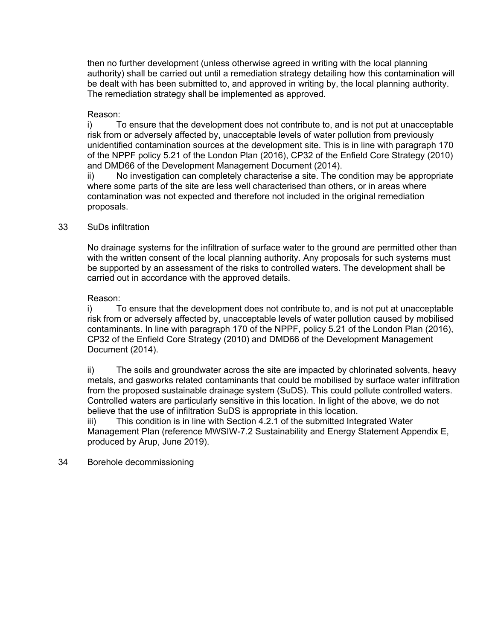then no further development (unless otherwise agreed in writing with the local planning authority) shall be carried out until a remediation strategy detailing how this contamination will be dealt with has been submitted to, and approved in writing by, the local planning authority. The remediation strategy shall be implemented as approved.

# Reason:

i) To ensure that the development does not contribute to, and is not put at unacceptable risk from or adversely affected by, unacceptable levels of water pollution from previously unidentified contamination sources at the development site. This is in line with paragraph 170 of the NPPF policy 5.21 of the London Plan (2016), CP32 of the Enfield Core Strategy (2010) and DMD66 of the Development Management Document (2014).

ii) No investigation can completely characterise a site. The condition may be appropriate where some parts of the site are less well characterised than others, or in areas where contamination was not expected and therefore not included in the original remediation proposals.

# 33 SuDs infiltration

No drainage systems for the infiltration of surface water to the ground are permitted other than with the written consent of the local planning authority. Any proposals for such systems must be supported by an assessment of the risks to controlled waters. The development shall be carried out in accordance with the approved details.

# Reason:

i) To ensure that the development does not contribute to, and is not put at unacceptable risk from or adversely affected by, unacceptable levels of water pollution caused by mobilised contaminants. In line with paragraph 170 of the NPPF, policy 5.21 of the London Plan (2016), CP32 of the Enfield Core Strategy (2010) and DMD66 of the Development Management Document (2014).

ii) The soils and groundwater across the site are impacted by chlorinated solvents, heavy metals, and gasworks related contaminants that could be mobilised by surface water infiltration from the proposed sustainable drainage system (SuDS). This could pollute controlled waters. Controlled waters are particularly sensitive in this location. In light of the above, we do not believe that the use of infiltration SuDS is appropriate in this location.

iii) This condition is in line with Section 4.2.1 of the submitted Integrated Water Management Plan (reference MWSIW-7.2 Sustainability and Energy Statement Appendix E, produced by Arup, June 2019).

## 34 Borehole decommissioning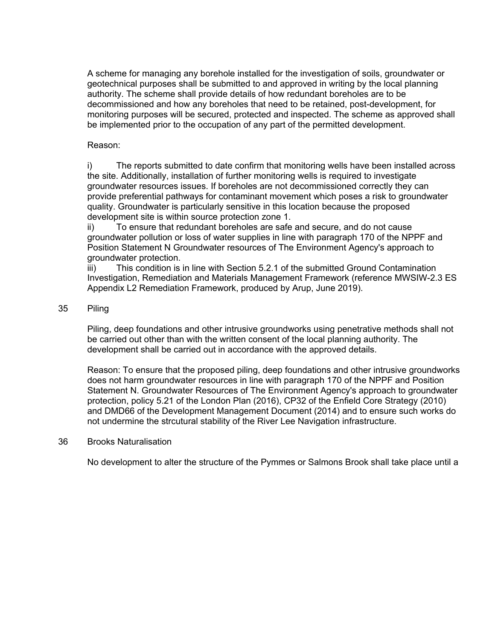A scheme for managing any borehole installed for the investigation of soils, groundwater or geotechnical purposes shall be submitted to and approved in writing by the local planning authority. The scheme shall provide details of how redundant boreholes are to be decommissioned and how any boreholes that need to be retained, post-development, for monitoring purposes will be secured, protected and inspected. The scheme as approved shall be implemented prior to the occupation of any part of the permitted development.

# Reason:

i) The reports submitted to date confirm that monitoring wells have been installed across the site. Additionally, installation of further monitoring wells is required to investigate groundwater resources issues. If boreholes are not decommissioned correctly they can provide preferential pathways for contaminant movement which poses a risk to groundwater quality. Groundwater is particularly sensitive in this location because the proposed development site is within source protection zone 1.

ii) To ensure that redundant boreholes are safe and secure, and do not cause groundwater pollution or loss of water supplies in line with paragraph 170 of the NPPF and Position Statement N Groundwater resources of The Environment Agency's approach to groundwater protection.

iii) This condition is in line with Section 5.2.1 of the submitted Ground Contamination Investigation, Remediation and Materials Management Framework (reference MWSIW-2.3 ES Appendix L2 Remediation Framework, produced by Arup, June 2019).

# 35 Piling

Piling, deep foundations and other intrusive groundworks using penetrative methods shall not be carried out other than with the written consent of the local planning authority. The development shall be carried out in accordance with the approved details.

Reason: To ensure that the proposed piling, deep foundations and other intrusive groundworks does not harm groundwater resources in line with paragraph 170 of the NPPF and Position Statement N. Groundwater Resources of The Environment Agency's approach to groundwater protection, policy 5.21 of the London Plan (2016), CP32 of the Enfield Core Strategy (2010) and DMD66 of the Development Management Document (2014) and to ensure such works do not undermine the strcutural stability of the River Lee Navigation infrastructure.

## 36 Brooks Naturalisation

No development to alter the structure of the Pymmes or Salmons Brook shall take place until a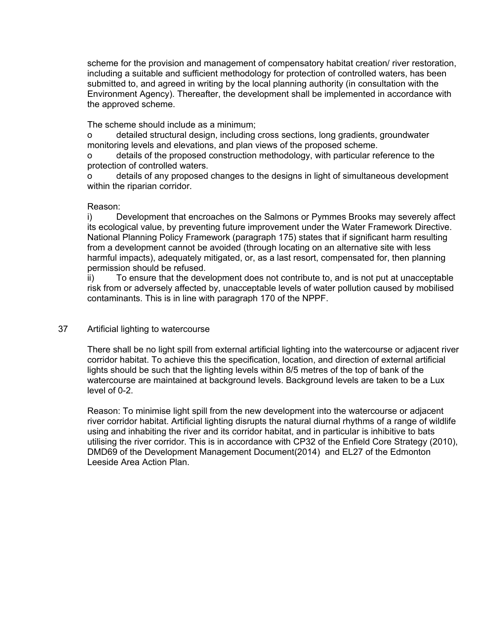scheme for the provision and management of compensatory habitat creation/ river restoration, including a suitable and sufficient methodology for protection of controlled waters, has been submitted to, and agreed in writing by the local planning authority (in consultation with the Environment Agency). Thereafter, the development shall be implemented in accordance with the approved scheme.

The scheme should include as a minimum;

o detailed structural design, including cross sections, long gradients, groundwater monitoring levels and elevations, and plan views of the proposed scheme.

o details of the proposed construction methodology, with particular reference to the protection of controlled waters.

o details of any proposed changes to the designs in light of simultaneous development within the riparian corridor.

# Reason:

i) Development that encroaches on the Salmons or Pymmes Brooks may severely affect its ecological value, by preventing future improvement under the Water Framework Directive. National Planning Policy Framework (paragraph 175) states that if significant harm resulting from a development cannot be avoided (through locating on an alternative site with less harmful impacts), adequately mitigated, or, as a last resort, compensated for, then planning permission should be refused.

ii) To ensure that the development does not contribute to, and is not put at unacceptable risk from or adversely affected by, unacceptable levels of water pollution caused by mobilised contaminants. This is in line with paragraph 170 of the NPPF.

# 37 Artificial lighting to watercourse

There shall be no light spill from external artificial lighting into the watercourse or adjacent river corridor habitat. To achieve this the specification, location, and direction of external artificial lights should be such that the lighting levels within 8/5 metres of the top of bank of the watercourse are maintained at background levels. Background levels are taken to be a Lux level of 0-2.

Reason: To minimise light spill from the new development into the watercourse or adjacent river corridor habitat. Artificial lighting disrupts the natural diurnal rhythms of a range of wildlife using and inhabiting the river and its corridor habitat, and in particular is inhibitive to bats utilising the river corridor. This is in accordance with CP32 of the Enfield Core Strategy (2010), DMD69 of the Development Management Document(2014) and EL27 of the Edmonton Leeside Area Action Plan.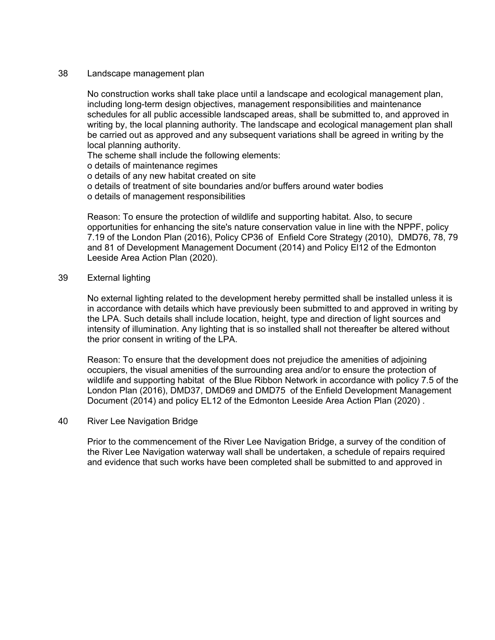#### 38 Landscape management plan

No construction works shall take place until a landscape and ecological management plan, including long-term design objectives, management responsibilities and maintenance schedules for all public accessible landscaped areas, shall be submitted to, and approved in writing by, the local planning authority. The landscape and ecological management plan shall be carried out as approved and any subsequent variations shall be agreed in writing by the local planning authority.

The scheme shall include the following elements:

o details of maintenance regimes

o details of any new habitat created on site

o details of treatment of site boundaries and/or buffers around water bodies

o details of management responsibilities

Reason: To ensure the protection of wildlife and supporting habitat. Also, to secure opportunities for enhancing the site's nature conservation value in line with the NPPF, policy 7.19 of the London Plan (2016), Policy CP36 of Enfield Core Strategy (2010), DMD76, 78, 79 and 81 of Development Management Document (2014) and Policy El12 of the Edmonton Leeside Area Action Plan (2020).

## 39 External lighting

No external lighting related to the development hereby permitted shall be installed unless it is in accordance with details which have previously been submitted to and approved in writing by the LPA. Such details shall include location, height, type and direction of light sources and intensity of illumination. Any lighting that is so installed shall not thereafter be altered without the prior consent in writing of the LPA.

Reason: To ensure that the development does not prejudice the amenities of adjoining occupiers, the visual amenities of the surrounding area and/or to ensure the protection of wildlife and supporting habitat of the Blue Ribbon Network in accordance with policy 7.5 of the London Plan (2016), DMD37, DMD69 and DMD75 of the Enfield Development Management Document (2014) and policy EL12 of the Edmonton Leeside Area Action Plan (2020) .

#### 40 River Lee Navigation Bridge

Prior to the commencement of the River Lee Navigation Bridge, a survey of the condition of the River Lee Navigation waterway wall shall be undertaken, a schedule of repairs required and evidence that such works have been completed shall be submitted to and approved in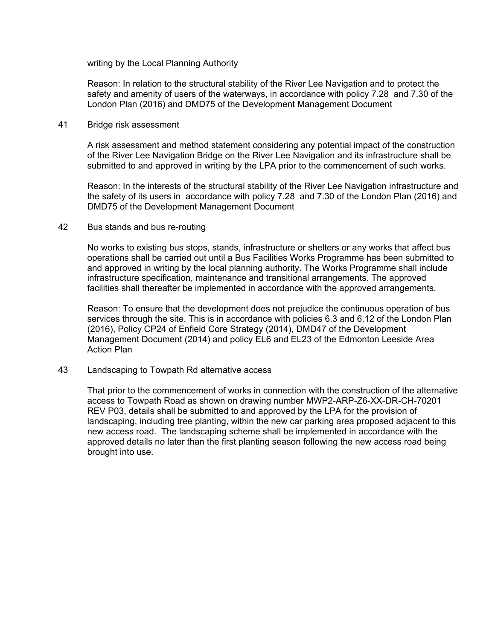writing by the Local Planning Authority

Reason: In relation to the structural stability of the River Lee Navigation and to protect the safety and amenity of users of the waterways, in accordance with policy 7.28 and 7.30 of the London Plan (2016) and DMD75 of the Development Management Document

# 41 Bridge risk assessment

A risk assessment and method statement considering any potential impact of the construction of the River Lee Navigation Bridge on the River Lee Navigation and its infrastructure shall be submitted to and approved in writing by the LPA prior to the commencement of such works.

Reason: In the interests of the structural stability of the River Lee Navigation infrastructure and the safety of its users in accordance with policy 7.28 and 7.30 of the London Plan (2016) and DMD75 of the Development Management Document

# 42 Bus stands and bus re-routing

No works to existing bus stops, stands, infrastructure or shelters or any works that affect bus operations shall be carried out until a Bus Facilities Works Programme has been submitted to and approved in writing by the local planning authority. The Works Programme shall include infrastructure specification, maintenance and transitional arrangements. The approved facilities shall thereafter be implemented in accordance with the approved arrangements.

Reason: To ensure that the development does not prejudice the continuous operation of bus services through the site. This is in accordance with policies 6.3 and 6.12 of the London Plan (2016), Policy CP24 of Enfield Core Strategy (2014), DMD47 of the Development Management Document (2014) and policy EL6 and EL23 of the Edmonton Leeside Area Action Plan

## 43 Landscaping to Towpath Rd alternative access

That prior to the commencement of works in connection with the construction of the alternative access to Towpath Road as shown on drawing number MWP2-ARP-Z6-XX-DR-CH-70201 REV P03, details shall be submitted to and approved by the LPA for the provision of landscaping, including tree planting, within the new car parking area proposed adjacent to this new access road. The landscaping scheme shall be implemented in accordance with the approved details no later than the first planting season following the new access road being brought into use.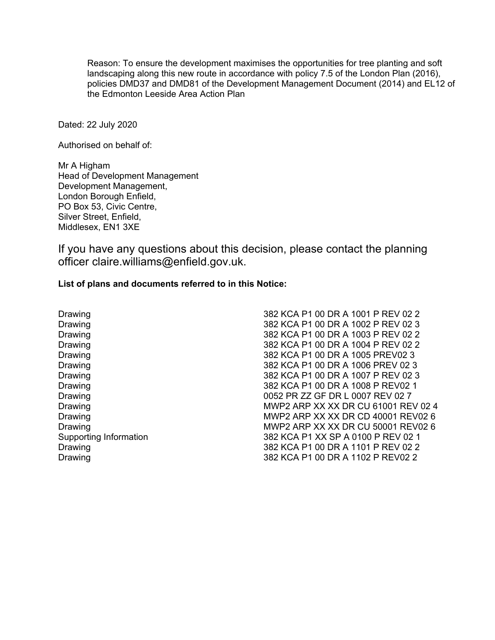Reason: To ensure the development maximises the opportunities for tree planting and soft landscaping along this new route in accordance with policy 7.5 of the London Plan (2016), policies DMD37 and DMD81 of the Development Management Document (2014) and EL12 of the Edmonton Leeside Area Action Plan

Dated: 22 July 2020

Authorised on behalf of:

Mr A Higham Head of Development Management Development Management, London Borough Enfield, PO Box 53, Civic Centre, Silver Street, Enfield, Middlesex, EN1 3XE

If you have any questions about this decision, please contact the planning officer claire.williams@enfield.gov.uk.

## **List of plans and documents referred to in this Notice:**

Drawing Drawing Drawing Drawing Drawing Drawing Drawing Drawing Drawing Drawing Drawing Drawing Supporting Information Drawing Drawing

382 KCA P1 00 DR A 1001 P REV 02 2 382 KCA P1 00 DR A 1002 P REV 02 3 382 KCA P1 00 DR A 1003 P REV 02 2 382 KCA P1 00 DR A 1004 P REV 02 2 382 KCA P1 00 DR A 1005 PREV02 3 382 KCA P1 00 DR A 1006 PREV 02 3 382 KCA P1 00 DR A 1007 P REV 02 3 382 KCA P1 00 DR A 1008 P REV02 1 0052 PR ZZ GF DR L 0007 REV 02 7 MWP2 ARP XX XX DR CU 61001 REV 02 4 MWP2 ARP XX XX DR CD 40001 REV02 6 MWP2 ARP XX XX DR CU 50001 REV02 6 382 KCA P1 XX SP A 0100 P REV 02 1 382 KCA P1 00 DR A 1101 P REV 02 2 382 KCA P1 00 DR A 1102 P REV02 2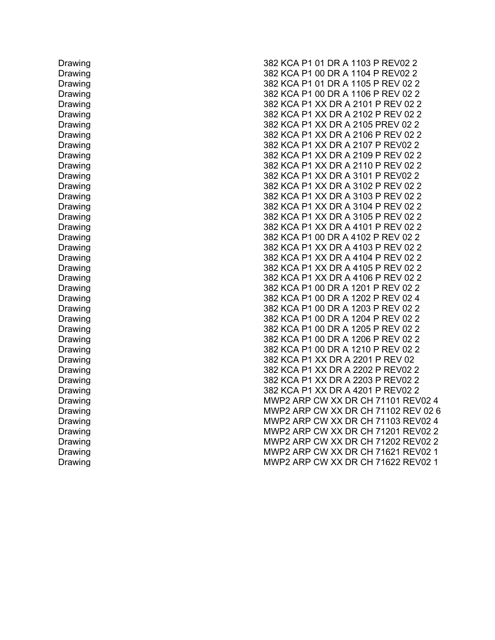Drawing Drawing Drawing Drawing Drawing Drawing Drawing Drawing Drawing Drawing Drawing Drawing Drawing Drawing Drawing Drawing Drawing Drawing Drawing Drawing Drawing Drawing Drawing Drawing Drawing Drawing Drawing Drawing Drawing Drawing Drawing Drawing Drawing Drawing Drawing Drawing Drawing Drawing Drawing Drawing

382 KCA P1 01 DR A 1103 P REV02 2 382 KCA P1 00 DR A 1104 P REV02 2 382 KCA P1 01 DR A 1105 P REV 02 2 382 KCA P1 00 DR A 1106 P REV 02 2 382 KCA P1 XX DR A 2101 P REV 02 2 382 KCA P1 XX DR A 2102 P REV 02 2 382 KCA P1 XX DR A 2105 PREV 02 2 382 KCA P1 XX DR A 2106 P REV 02 2 382 KCA P1 XX DR A 2107 P REV02 2 382 KCA P1 XX DR A 2109 P REV 02 2 382 KCA P1 XX DR A 2110 P REV 02 2 382 KCA P1 XX DR A 3101 P REV02 2 382 KCA P1 XX DR A 3102 P REV 02 2 382 KCA P1 XX DR A 3103 P REV 02 2 382 KCA P1 XX DR A 3104 P REV 02 2 382 KCA P1 XX DR A 3105 P REV 02 2 382 KCA P1 XX DR A 4101 P REV 02 2 382 KCA P1 00 DR A 4102 P REV 02 2 382 KCA P1 XX DR A 4103 P REV 02 2 382 KCA P1 XX DR A 4104 P REV 02 2 382 KCA P1 XX DR A 4105 P REV 02 2 382 KCA P1 XX DR A 4106 P REV 02 2 382 KCA P1 00 DR A 1201 P REV 02 2 382 KCA P1 00 DR A 1202 P REV 02 4 382 KCA P1 00 DR A 1203 P REV 02 2 382 KCA P1 00 DR A 1204 P REV 02 2 382 KCA P1 00 DR A 1205 P REV 02 2 382 KCA P1 00 DR A 1206 P REV 02 2 382 KCA P1 00 DR A 1210 P REV 02 2 382 KCA P1 XX DR A 2201 P REV 02 382 KCA P1 XX DR A 2202 P REV02 2 382 KCA P1 XX DR A 2203 P REV02 2 382 KCA P1 XX DR A 4201 P REV02 2 MWP2 ARP CW XX DR CH 71101 REV02 4 MWP2 ARP CW XX DR CH 71102 REV 02 6 MWP2 ARP CW XX DR CH 71103 REV02 4 MWP2 ARP CW XX DR CH 71201 REV02 2 MWP2 ARP CW XX DR CH 71202 REV02 2 MWP2 ARP CW XX DR CH 71621 REV02 1 MWP2 ARP CW XX DR CH 71622 REV02 1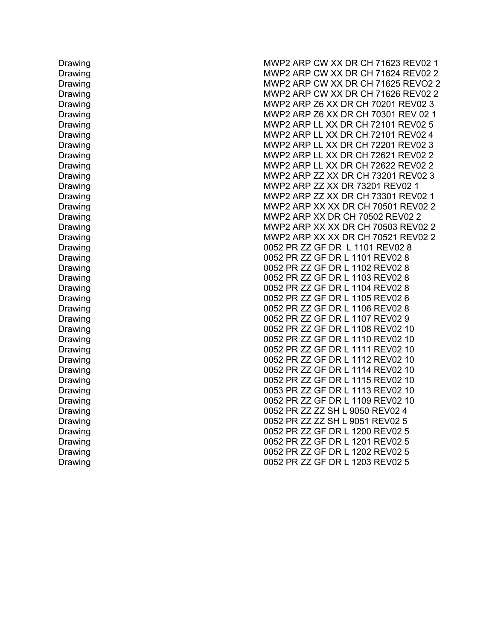Drawing Drawing Drawing Drawing Drawing Drawing Drawing Drawing Drawing Drawing Drawing Drawing Drawing Drawing Drawing Drawing Drawing Drawing Drawing Drawing Drawing Drawing Drawing Drawing Drawing Drawing Drawing Drawing Drawing Drawing Drawing Drawing Drawing Drawing Drawing Drawing Drawing Drawing Drawing Drawing

MWP2 ARP CW XX DR CH 71623 REV02 1 MWP2 ARP CW XX DR CH 71624 REV02 2 MWP2 ARP CW XX DR CH 71625 REVO2 2 MWP2 ARP CW XX DR CH 71626 REV02 2 MWP2 ARP Z6 XX DR CH 70201 REV02 3 MWP2 ARP Z6 XX DR CH 70301 REV 02 1 MWP2 ARP LL XX DR CH 72101 REV02 5 MWP2 ARP LL XX DR CH 72101 REV02 4 MWP2 ARP LL XX DR CH 72201 REV02 3 MWP2 ARP LL XX DR CH 72621 REV02 2 MWP2 ARP LL XX DR CH 72622 REV02 2 MWP2 ARP ZZ XX DR CH 73201 REV02 3 MWP2 ARP ZZ XX DR 73201 REV02 1 MWP2 ARP ZZ XX DR CH 73301 REV02 1 MWP2 ARP XX XX DR CH 70501 REV02 2 MWP2 ARP XX DR CH 70502 REV02 2 MWP2 ARP XX XX DR CH 70503 REV02 2 MWP2 ARP XX XX DR CH 70521 REV02 2 0052 PR ZZ GF DR L 1101 REV02 8 0052 PR ZZ GF DR L 1101 REV02 8 0052 PR ZZ GF DR L 1102 REV02 8 0052 PR ZZ GF DR L 1103 REV02 8 0052 PR ZZ GF DR L 1104 REV02 8 0052 PR ZZ GF DR L 1105 REV02 6 0052 PR ZZ GF DR L 1106 REV02 8 0052 PR ZZ GF DR L 1107 REV02 9 0052 PR ZZ GF DR L 1108 REV02 10 0052 PR ZZ GF DR L 1110 REV02 10 0052 PR ZZ GF DR L 1111 REV02 10 0052 PR ZZ GF DR L 1112 REV02 10 0052 PR ZZ GF DR L 1114 REV02 10 0052 PR ZZ GF DR L 1115 REV02 10 0053 PR ZZ GF DR L 1113 REV02 10 0052 PR ZZ GF DR L 1109 REV02 10 0052 PR ZZ ZZ SH L 9050 REV02 4 0052 PR ZZ ZZ SH L 9051 REV02 5 0052 PR ZZ GF DR L 1200 REV02 5 0052 PR ZZ GF DR L 1201 REV02 5 0052 PR ZZ GF DR L 1202 REV02 5 0052 PR ZZ GF DR L 1203 REV02 5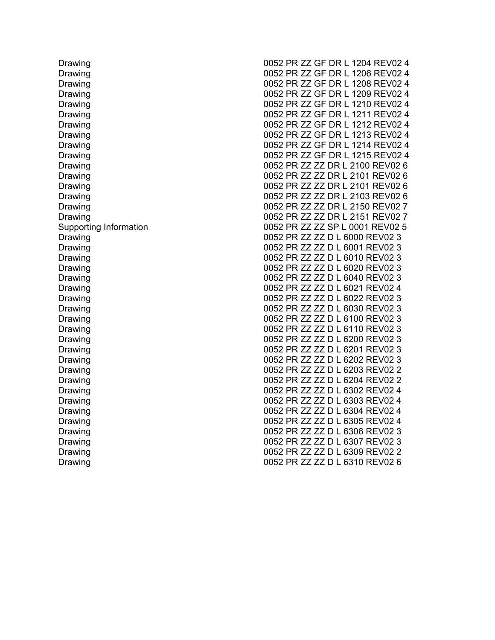Drawing Drawing Drawing Drawing Drawing Drawing Drawing Drawing Drawing Drawing Drawing Drawing Drawing Drawing Drawing Drawing Supporting Information Drawing Drawing Drawing Drawing Drawing Drawing Drawing Drawing Drawing Drawing Drawing Drawing Drawing Drawing Drawing Drawing Drawing Drawing Drawing Drawing Drawing Drawing Drawing

0052 PR ZZ GF DR L 1204 REV02 4 0052 PR ZZ GF DR L 1206 REV02 4 0052 PR ZZ GF DR L 1208 REV02 4 0052 PR ZZ GF DR L 1209 REV02 4 0052 PR ZZ GF DR L 1210 REV02 4 0052 PR ZZ GF DR L 1211 REV02 4 0052 PR ZZ GF DR L 1212 REV02 4 0052 PR ZZ GF DR L 1213 REV02 4 0052 PR ZZ GF DR L 1214 REV02 4 0052 PR ZZ GF DR L 1215 REV02 4 0052 PR ZZ ZZ DR L 2100 REV02 6 0052 PR ZZ ZZ DR L 2101 REV02 6 0052 PR ZZ ZZ DR L 2101 REV02 6 0052 PR ZZ ZZ DR L 2103 REV02 6 0052 PR ZZ ZZ DR L 2150 REV02 7 0052 PR ZZ ZZ DR L 2151 REV02 7 0052 PR ZZ ZZ SP L 0001 REV02 5 0052 PR ZZ ZZ D L 6000 REV02 3 0052 PR ZZ ZZ D L 6001 REV02 3 0052 PR ZZ ZZ D L 6010 REV02 3 0052 PR ZZ ZZ D L 6020 REV02 3 0052 PR ZZ ZZ D L 6040 REV02 3 0052 PR ZZ ZZ D L 6021 REV02 4 0052 PR ZZ ZZ D L 6022 REV02 3 0052 PR ZZ ZZ D L 6030 REV02 3 0052 PR ZZ ZZ D L 6100 REV02 3 0052 PR ZZ ZZ D L 6110 REV02 3 0052 PR ZZ ZZ D L 6200 REV02 3 0052 PR ZZ ZZ D L 6201 REV02 3 0052 PR ZZ ZZ D L 6202 REV02 3 0052 PR ZZ ZZ D L 6203 REV02 2 0052 PR ZZ ZZ D L 6204 REV02 2 0052 PR ZZ ZZ D L 6302 REV02 4 0052 PR ZZ ZZ D L 6303 REV02 4 0052 PR ZZ ZZ D L 6304 REV02 4 0052 PR ZZ ZZ D L 6305 REV02 4 0052 PR ZZ ZZ D L 6306 REV02 3 0052 PR ZZ ZZ D L 6307 REV02 3 0052 PR ZZ ZZ D L 6309 REV02 2 0052 PR ZZ ZZ D L 6310 REV02 6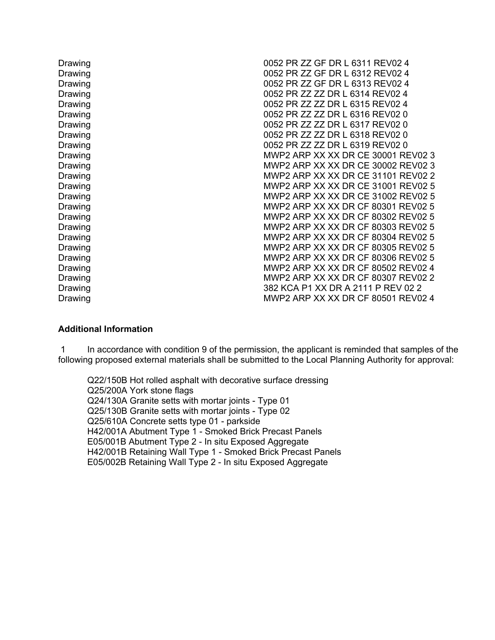| Drawing | 0052 PR ZZ GF DR L 6311 REV02 4    |
|---------|------------------------------------|
| Drawing | 0052 PR ZZ GF DR L 6312 REV02 4    |
| Drawing | 0052 PR ZZ GF DR L 6313 REV02 4    |
| Drawing | 0052 PR 77 77 DR L 6314 REV02 4    |
| Drawing | 0052 PR ZZ ZZ DR L 6315 REV02 4    |
| Drawing | 0052 PR ZZ ZZ DR L 6316 REV02 0    |
| Drawing | 0052 PR ZZ ZZ DR L 6317 REV02 0    |
| Drawing | 0052 PR ZZ ZZ DR L 6318 REV02 0    |
| Drawing | 0052 PR ZZ ZZ DR L 6319 REV02 0    |
| Drawing | MWP2 ARP XX XX DR CE 30001 REV02 3 |
| Drawing | MWP2 ARP XX XX DR CE 30002 REV02 3 |
| Drawing | MWP2 ARP XX XX DR CE 31101 REV02 2 |
| Drawing | MWP2 ARP XX XX DR CE 31001 REV02 5 |
| Drawing | MWP2 ARP XX XX DR CE 31002 REV02 5 |
| Drawing | MWP2 ARP XX XX DR CF 80301 REV02 5 |
| Drawing | MWP2 ARP XX XX DR CF 80302 REV02 5 |
| Drawing | MWP2 ARP XX XX DR CF 80303 REV02 5 |
| Drawing | MWP2 ARP XX XX DR CF 80304 REV02 5 |
| Drawing | MWP2 ARP XX XX DR CF 80305 REV02 5 |
| Drawing | MWP2 ARP XX XX DR CF 80306 REV02 5 |
| Drawing | MWP2 ARP XX XX DR CF 80502 REV02 4 |
| Drawing | MWP2 ARP XX XX DR CF 80307 REV02 2 |
| Drawing | 382 KCA P1 XX DR A 2111 P REV 02 2 |
| Drawing | MWP2 ARP XX XX DR CF 80501 REV02 4 |
|         |                                    |

## **Additional Information**

1 In accordance with condition 9 of the permission, the applicant is reminded that samples of the following proposed external materials shall be submitted to the Local Planning Authority for approval:

Q22/150B Hot rolled asphalt with decorative surface dressing Q25/200A York stone flags Q24/130A Granite setts with mortar joints - Type 01 Q25/130B Granite setts with mortar joints - Type 02 Q25/610A Concrete setts type 01 - parkside H42/001A Abutment Type 1 - Smoked Brick Precast Panels E05/001B Abutment Type 2 - In situ Exposed Aggregate H42/001B Retaining Wall Type 1 - Smoked Brick Precast Panels E05/002B Retaining Wall Type 2 - In situ Exposed Aggregate